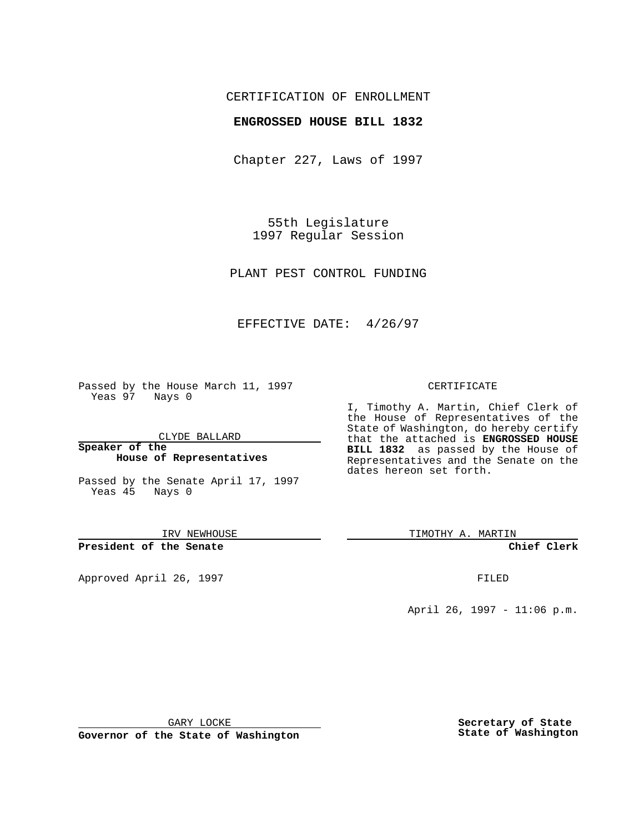## CERTIFICATION OF ENROLLMENT

#### **ENGROSSED HOUSE BILL 1832**

Chapter 227, Laws of 1997

55th Legislature 1997 Regular Session

PLANT PEST CONTROL FUNDING

## EFFECTIVE DATE: 4/26/97

Passed by the House March 11, 1997 Yeas 97 Nays 0

CLYDE BALLARD

**Speaker of the House of Representatives**

Passed by the Senate April 17, 1997 Yeas 45 Nays 0

IRV NEWHOUSE

**President of the Senate**

Approved April 26, 1997 **FILED** 

#### CERTIFICATE

I, Timothy A. Martin, Chief Clerk of the House of Representatives of the State of Washington, do hereby certify that the attached is **ENGROSSED HOUSE BILL 1832** as passed by the House of Representatives and the Senate on the dates hereon set forth.

TIMOTHY A. MARTIN

**Chief Clerk**

April 26, 1997 - 11:06 p.m.

GARY LOCKE

**Governor of the State of Washington**

**Secretary of State State of Washington**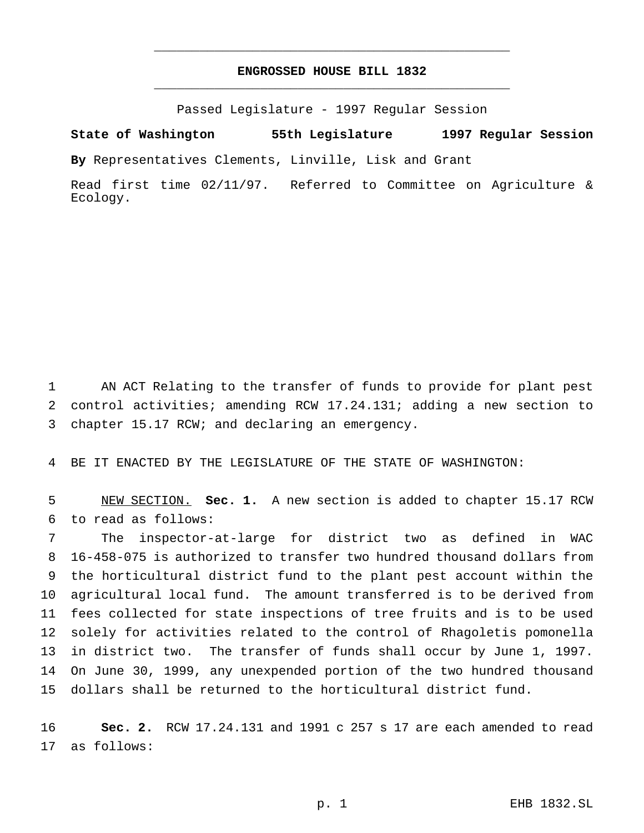# **ENGROSSED HOUSE BILL 1832** \_\_\_\_\_\_\_\_\_\_\_\_\_\_\_\_\_\_\_\_\_\_\_\_\_\_\_\_\_\_\_\_\_\_\_\_\_\_\_\_\_\_\_\_\_\_\_

\_\_\_\_\_\_\_\_\_\_\_\_\_\_\_\_\_\_\_\_\_\_\_\_\_\_\_\_\_\_\_\_\_\_\_\_\_\_\_\_\_\_\_\_\_\_\_

Passed Legislature - 1997 Regular Session

**State of Washington 55th Legislature 1997 Regular Session**

**By** Representatives Clements, Linville, Lisk and Grant

Read first time 02/11/97. Referred to Committee on Agriculture & Ecology.

 AN ACT Relating to the transfer of funds to provide for plant pest control activities; amending RCW 17.24.131; adding a new section to chapter 15.17 RCW; and declaring an emergency.

BE IT ENACTED BY THE LEGISLATURE OF THE STATE OF WASHINGTON:

 NEW SECTION. **Sec. 1.** A new section is added to chapter 15.17 RCW to read as follows:

 The inspector-at-large for district two as defined in WAC 16-458-075 is authorized to transfer two hundred thousand dollars from the horticultural district fund to the plant pest account within the agricultural local fund. The amount transferred is to be derived from fees collected for state inspections of tree fruits and is to be used solely for activities related to the control of Rhagoletis pomonella in district two. The transfer of funds shall occur by June 1, 1997. On June 30, 1999, any unexpended portion of the two hundred thousand dollars shall be returned to the horticultural district fund.

 **Sec. 2.** RCW 17.24.131 and 1991 c 257 s 17 are each amended to read as follows: